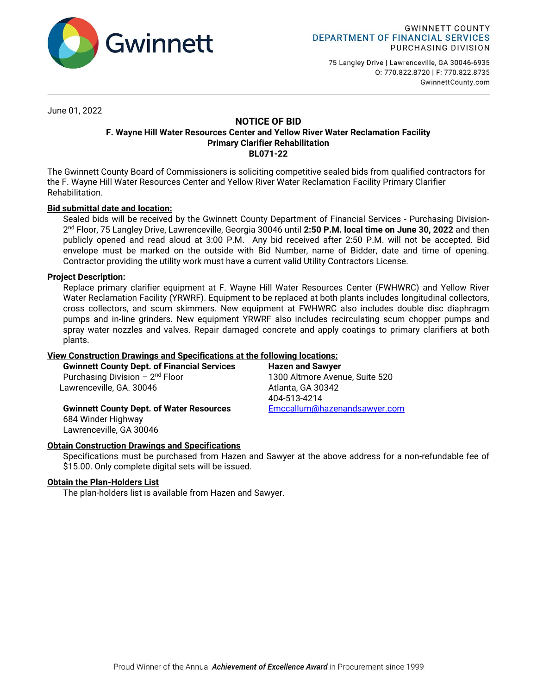

75 Langley Drive | Lawrenceville, GA 30046-6935 0: 770.822.8720 | F: 770.822.8735 GwinnettCounty.com

June 01, 2022

### **NOTICE OF BID F. Wayne Hill Water Resources Center and Yellow River Water Reclamation Facility Primary Clarifier Rehabilitation BL071-22**

The Gwinnett County Board of Commissioners is soliciting competitive sealed bids from qualified contractors for the F. Wayne Hill Water Resources Center and Yellow River Water Reclamation Facility Primary Clarifier Rehabilitation.

# **Bid submittal date and location:**

Sealed bids will be received by the Gwinnett County Department of Financial Services - Purchasing Division-2 nd Floor, 75 Langley Drive, Lawrenceville, Georgia 30046 until **2:50 P.M. local time on June 30, 2022** and then publicly opened and read aloud at 3:00 P.M. Any bid received after 2:50 P.M. will not be accepted. Bid envelope must be marked on the outside with Bid Number, name of Bidder, date and time of opening. Contractor providing the utility work must have a current valid Utility Contractors License.

# **Project Description:**

Replace primary clarifier equipment at F. Wayne Hill Water Resources Center (FWHWRC) and Yellow River Water Reclamation Facility (YRWRF). Equipment to be replaced at both plants includes longitudinal collectors, cross collectors, and scum skimmers. New equipment at FWHWRC also includes double disc diaphragm pumps and in-line grinders. New equipment YRWRF also includes recirculating scum chopper pumps and spray water nozzles and valves. Repair damaged concrete and apply coatings to primary clarifiers at both plants.

### **View Construction Drawings and Specifications at the following locations:**

| <b>Gwinnett County Dept. of Financial Services</b> |  |
|----------------------------------------------------|--|
| Purchasing Division $-2^{nd}$ Floor                |  |
| Lawrenceville, GA. 30046                           |  |

**Hazen and Sawyer** 1300 Altmore Avenue, Suite 520 Atlanta, GA 30342 404-513-4214

**Gwinnett County Dept. of Water Resources [Emccallum@hazenandsawyer.com](mailto:Emccallum@hazenandsawyer.com)** 684 Winder Highway

### **Obtain Construction Drawings and Specifications**

Specifications must be purchased from Hazen and Sawyer at the above address for a non-refundable fee of \$15.00. Only complete digital sets will be issued.

# **Obtain the Plan-Holders List**

Lawrenceville, GA 30046

The plan-holders list is available from Hazen and Sawyer.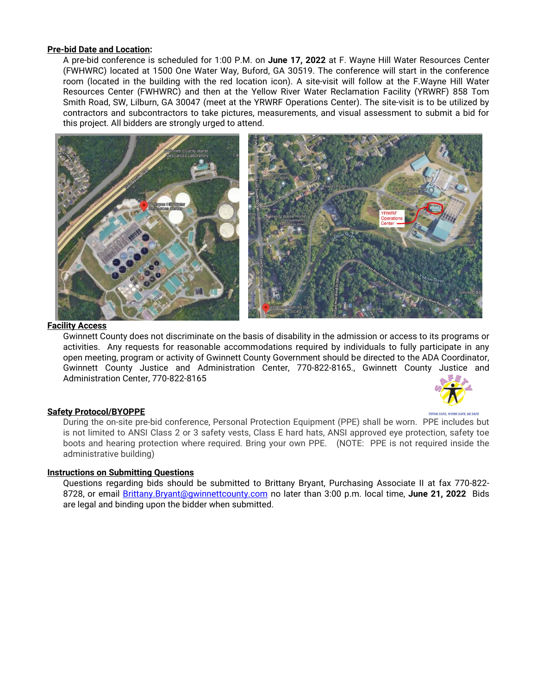### **Pre-bid Date and Location:**

A pre-bid conference is scheduled for 1:00 P.M. on **June 17, 2022** at F. Wayne Hill Water Resources Center (FWHWRC) located at 1500 One Water Way, Buford, GA 30519. The conference will start in the conference room (located in the building with the red location icon). A site-visit will follow at the F.Wayne Hill Water Resources Center (FWHWRC) and then at the Yellow River Water Reclamation Facility (YRWRF) 858 Tom Smith Road, SW, Lilburn, GA 30047 (meet at the YRWRF Operations Center). The site-visit is to be utilized by contractors and subcontractors to take pictures, measurements, and visual assessment to submit a bid for this project. All bidders are strongly urged to attend.



#### **Facility Access**

Gwinnett County does not discriminate on the basis of disability in the admission or access to its programs or activities. Any requests for reasonable accommodations required by individuals to fully participate in any open meeting, program or activity of Gwinnett County Government should be directed to the ADA Coordinator, Gwinnett County Justice and Administration Center, 770-822-8165., Gwinnett County Justice and Administration Center, 770-822-8165



#### **Safety Protocol/BYOPPE**

During the on-site pre-bid conference, Personal Protection Equipment (PPE) shall be worn. PPE includes but is not limited to ANSI Class 2 or 3 safety vests, Class E hard hats, ANSI approved eye protection, safety toe boots and hearing protection where required. Bring your own PPE. (NOTE: PPE is not required inside the administrative building)

### **Instructions on Submitting Questions**

Questions regarding bids should be submitted to Brittany Bryant, Purchasing Associate II at fax 770-822- 8728, or email [Brittany.Bryant@gwinnettcounty.com](mailto:Brittany.Bryant@gwinnettcounty.com) no later than 3:00 p.m. local time, **June 21, 2022** Bids are legal and binding upon the bidder when submitted.